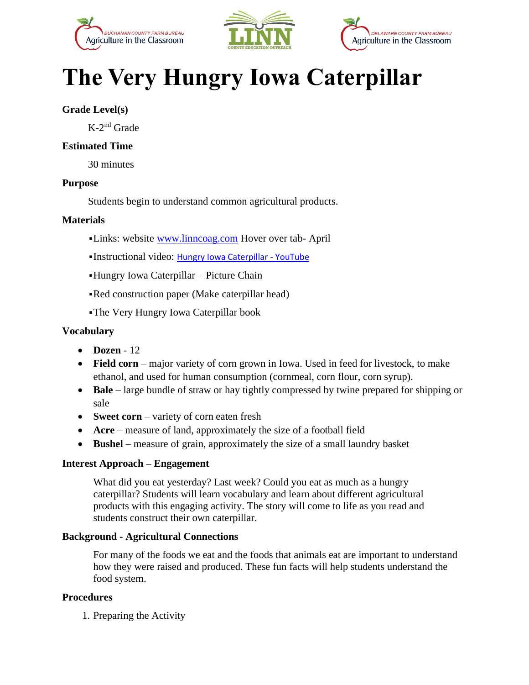





# **The Very Hungry Iowa Caterpillar**

### **Grade Level(s)**

K-2 nd Grade

#### **Estimated Time**

30 minutes

#### **Purpose**

Students begin to understand common agricultural products.

#### **Materials**

- ▪Links: website [www.linncoag.com](http://www.linncoag.com/) Hover over tab- April
- ▪Instructional video: [Hungry Iowa Caterpillar -](https://www.youtube.com/watch?v=i30meKK_E6U) YouTube
- ▪Hungry Iowa Caterpillar Picture Chain
- •Red construction paper (Make caterpillar head)
- ▪The Very Hungry Iowa Caterpillar book

#### **Vocabulary**

- **Dozen** 12
- **Field corn** major variety of corn grown in Iowa. Used in feed for livestock, to make ethanol, and used for human consumption (cornmeal, corn flour, corn syrup).
- **Bale** large bundle of straw or hay tightly compressed by twine prepared for shipping or sale
- **Sweet corn** variety of corn eaten fresh
- **Acre** measure of land, approximately the size of a football field
- **Bushel** measure of grain, approximately the size of a small laundry basket

#### **Interest Approach – Engagement**

What did you eat yesterday? Last week? Could you eat as much as a hungry caterpillar? Students will learn vocabulary and learn about different agricultural products with this engaging activity. The story will come to life as you read and students construct their own caterpillar.

#### **Background - Agricultural Connections**

For many of the foods we eat and the foods that animals eat are important to understand how they were raised and produced. These fun facts will help students understand the food system.

#### **Procedures**

1. Preparing the Activity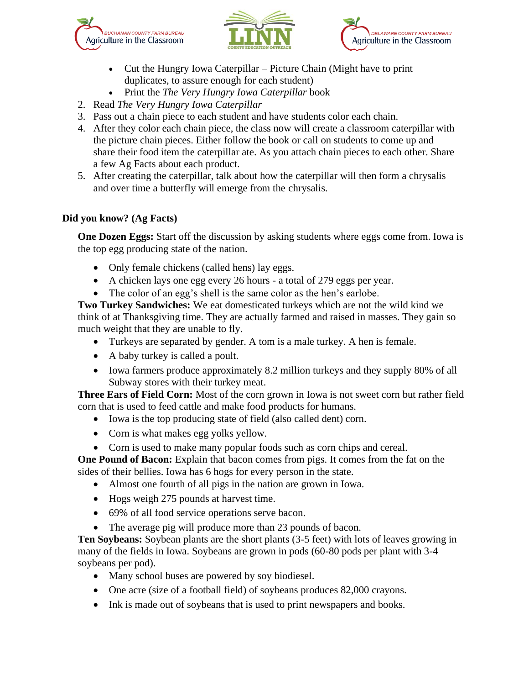





- Cut the Hungry Iowa Caterpillar Picture Chain (Might have to print duplicates, to assure enough for each student)
- Print the *The Very Hungry Iowa Caterpillar* book
- 2. Read *The Very Hungry Iowa Caterpillar*
- 3. Pass out a chain piece to each student and have students color each chain.
- 4. After they color each chain piece, the class now will create a classroom caterpillar with the picture chain pieces. Either follow the book or call on students to come up and share their food item the caterpillar ate. As you attach chain pieces to each other. Share a few Ag Facts about each product.
- 5. After creating the caterpillar, talk about how the caterpillar will then form a chrysalis and over time a butterfly will emerge from the chrysalis.

## **Did you know? (Ag Facts)**

**One Dozen Eggs:** Start off the discussion by asking students where eggs come from. Iowa is the top egg producing state of the nation.

- Only female chickens (called hens) lay eggs.
- A chicken lays one egg every 26 hours a total of 279 eggs per year.
- The color of an egg's shell is the same color as the hen's earlobe.

**Two Turkey Sandwiches:** We eat domesticated turkeys which are not the wild kind we think of at Thanksgiving time. They are actually farmed and raised in masses. They gain so much weight that they are unable to fly.

- Turkeys are separated by gender. A tom is a male turkey. A hen is female.
- A baby turkey is called a poult.
- Iowa farmers produce approximately 8.2 million turkeys and they supply 80% of all Subway stores with their turkey meat.

**Three Ears of Field Corn:** Most of the corn grown in Iowa is not sweet corn but rather field corn that is used to feed cattle and make food products for humans.

- Iowa is the top producing state of field (also called dent) corn.
- Corn is what makes egg yolks yellow.
- Corn is used to make many popular foods such as corn chips and cereal.

**One Pound of Bacon:** Explain that bacon comes from pigs. It comes from the fat on the sides of their bellies. Iowa has 6 hogs for every person in the state.

- Almost one fourth of all pigs in the nation are grown in Iowa.
- Hogs weigh 275 pounds at harvest time.
- 69% of all food service operations serve bacon.
- The average pig will produce more than 23 pounds of bacon.

**Ten Soybeans:** Soybean plants are the short plants (3-5 feet) with lots of leaves growing in many of the fields in Iowa. Soybeans are grown in pods (60-80 pods per plant with 3-4 soybeans per pod).

- Many school buses are powered by soy biodiesel.
- One acre (size of a football field) of soybeans produces 82,000 crayons.
- Ink is made out of soybeans that is used to print newspapers and books.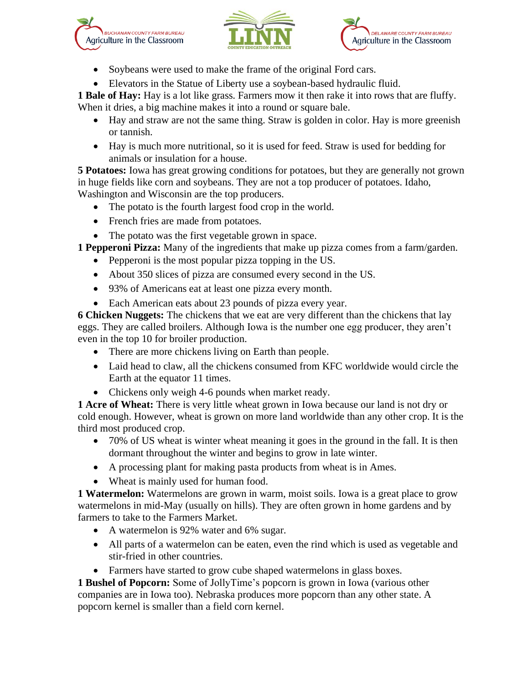





- Soybeans were used to make the frame of the original Ford cars.
- Elevators in the Statue of Liberty use a soybean-based hydraulic fluid.

**1 Bale of Hay:** Hay is a lot like grass. Farmers mow it then rake it into rows that are fluffy. When it dries, a big machine makes it into a round or square bale.

- Hay and straw are not the same thing. Straw is golden in color. Hay is more greenish or tannish.
- Hay is much more nutritional, so it is used for feed. Straw is used for bedding for animals or insulation for a house.

**5 Potatoes:** Iowa has great growing conditions for potatoes, but they are generally not grown in huge fields like corn and soybeans. They are not a top producer of potatoes. Idaho, Washington and Wisconsin are the top producers.

- The potato is the fourth largest food crop in the world.
- French fries are made from potatoes.
- The potato was the first vegetable grown in space.

**1 Pepperoni Pizza:** Many of the ingredients that make up pizza comes from a farm/garden.

- Pepperoni is the most popular pizza topping in the US.
- About 350 slices of pizza are consumed every second in the US.
- 93% of Americans eat at least one pizza every month.
- Each American eats about 23 pounds of pizza every year.

**6 Chicken Nuggets:** The chickens that we eat are very different than the chickens that lay eggs. They are called broilers. Although Iowa is the number one egg producer, they aren't even in the top 10 for broiler production.

- There are more chickens living on Earth than people.
- Laid head to claw, all the chickens consumed from KFC worldwide would circle the Earth at the equator 11 times.
- Chickens only weigh 4-6 pounds when market ready.

**1 Acre of Wheat:** There is very little wheat grown in Iowa because our land is not dry or cold enough. However, wheat is grown on more land worldwide than any other crop. It is the third most produced crop.

- 70% of US wheat is winter wheat meaning it goes in the ground in the fall. It is then dormant throughout the winter and begins to grow in late winter.
- A processing plant for making pasta products from wheat is in Ames.
- Wheat is mainly used for human food.

**1 Watermelon:** Watermelons are grown in warm, moist soils. Iowa is a great place to grow watermelons in mid-May (usually on hills). They are often grown in home gardens and by farmers to take to the Farmers Market.

- A watermelon is 92% water and 6% sugar.
- All parts of a watermelon can be eaten, even the rind which is used as vegetable and stir-fried in other countries.
- Farmers have started to grow cube shaped watermelons in glass boxes.

**1 Bushel of Popcorn:** Some of JollyTime's popcorn is grown in Iowa (various other companies are in Iowa too). Nebraska produces more popcorn than any other state. A popcorn kernel is smaller than a field corn kernel.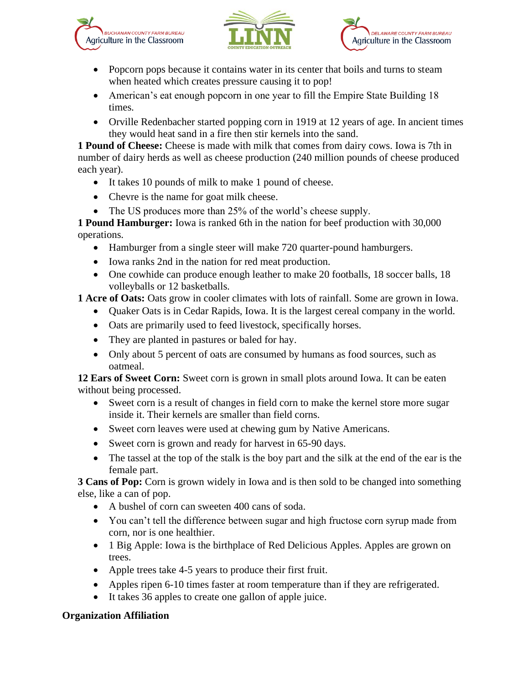





- Popcorn pops because it contains water in its center that boils and turns to steam when heated which creates pressure causing it to pop!
- American's eat enough popcorn in one year to fill the Empire State Building 18 times.
- Orville Redenbacher started popping corn in 1919 at 12 years of age. In ancient times they would heat sand in a fire then stir kernels into the sand.

**1 Pound of Cheese:** Cheese is made with milk that comes from dairy cows. Iowa is 7th in number of dairy herds as well as cheese production (240 million pounds of cheese produced each year).

- It takes 10 pounds of milk to make 1 pound of cheese.
- Chevre is the name for goat milk cheese.
- The US produces more than 25% of the world's cheese supply.

**1 Pound Hamburger:** Iowa is ranked 6th in the nation for beef production with 30,000 operations.

- Hamburger from a single steer will make 720 quarter-pound hamburgers.
- Iowa ranks 2nd in the nation for red meat production.
- One cowhide can produce enough leather to make 20 footballs, 18 soccer balls, 18 volleyballs or 12 basketballs.

**1 Acre of Oats:** Oats grow in cooler climates with lots of rainfall. Some are grown in Iowa.

- Quaker Oats is in Cedar Rapids, Iowa. It is the largest cereal company in the world.
- Oats are primarily used to feed livestock, specifically horses.
- They are planted in pastures or baled for hay.
- Only about 5 percent of oats are consumed by humans as food sources, such as oatmeal.

**12 Ears of Sweet Corn:** Sweet corn is grown in small plots around Iowa. It can be eaten without being processed.

- Sweet corn is a result of changes in field corn to make the kernel store more sugar inside it. Their kernels are smaller than field corns.
- Sweet corn leaves were used at chewing gum by Native Americans.
- Sweet corn is grown and ready for harvest in 65-90 days.
- The tassel at the top of the stalk is the boy part and the silk at the end of the ear is the female part.

**3 Cans of Pop:** Corn is grown widely in Iowa and is then sold to be changed into something else, like a can of pop.

- A bushel of corn can sweeten 400 cans of soda.
- You can't tell the difference between sugar and high fructose corn syrup made from corn, nor is one healthier.
- 1 Big Apple: Iowa is the birthplace of Red Delicious Apples. Apples are grown on trees.
- Apple trees take 4-5 years to produce their first fruit.
- Apples ripen 6-10 times faster at room temperature than if they are refrigerated.
- It takes 36 apples to create one gallon of apple juice.

## **Organization Affiliation**